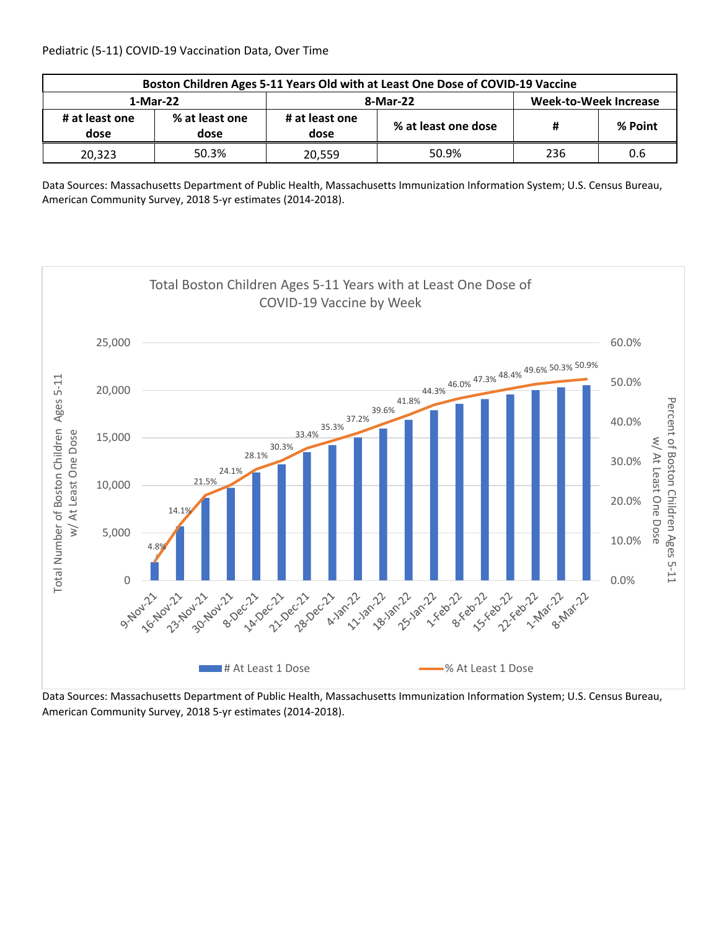| Boston Children Ages 5-11 Years Old with at Least One Dose of COVID-19 Vaccine |                        |                        |                     |                              |         |  |  |
|--------------------------------------------------------------------------------|------------------------|------------------------|---------------------|------------------------------|---------|--|--|
| 1-Mar-22                                                                       |                        |                        | 8-Mar-22            | <b>Week-to-Week Increase</b> |         |  |  |
| # at least one<br>dose                                                         | % at least one<br>dose | # at least one<br>dose | % at least one dose | Ħ                            | % Point |  |  |
| 20,323                                                                         | 50.3%                  | 20.559                 | 50.9%               | 236                          | 0.6     |  |  |

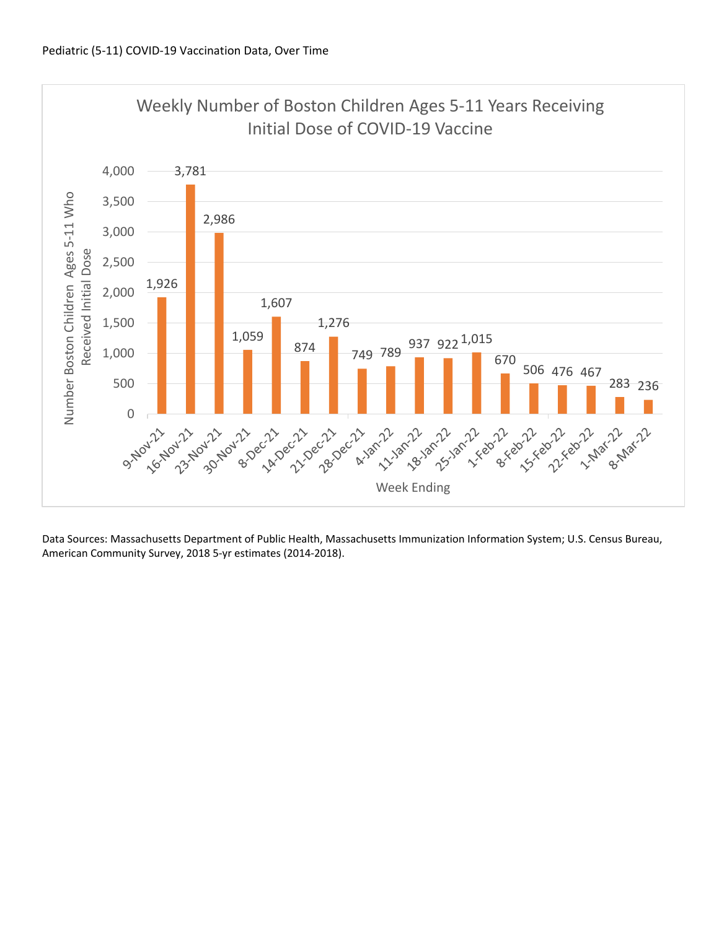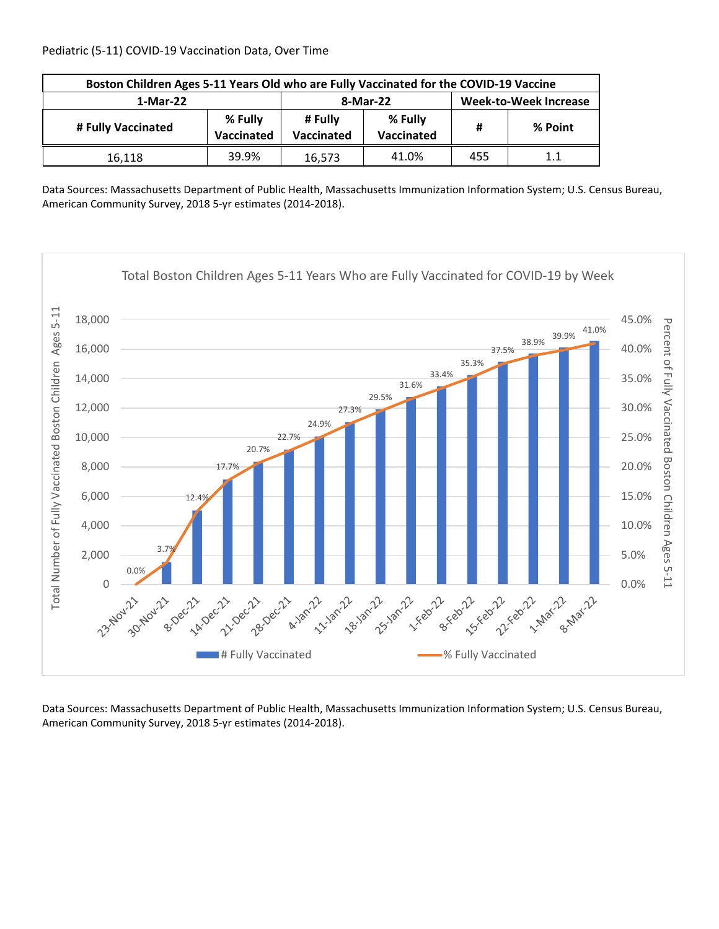| Boston Children Ages 5-11 Years Old who are Fully Vaccinated for the COVID-19 Vaccine |       |                       |                              |     |         |  |
|---------------------------------------------------------------------------------------|-------|-----------------------|------------------------------|-----|---------|--|
| 1-Mar-22                                                                              |       | 8-Mar-22              | <b>Week-to-Week Increase</b> |     |         |  |
| % Fully<br># Fully Vaccinated<br>Vaccinated                                           |       | # Fully<br>Vaccinated | % Fully<br>Vaccinated        | Ħ   | % Point |  |
| 16.118                                                                                | 39.9% | 16.573                | 41.0%                        | 455 | 1.1     |  |

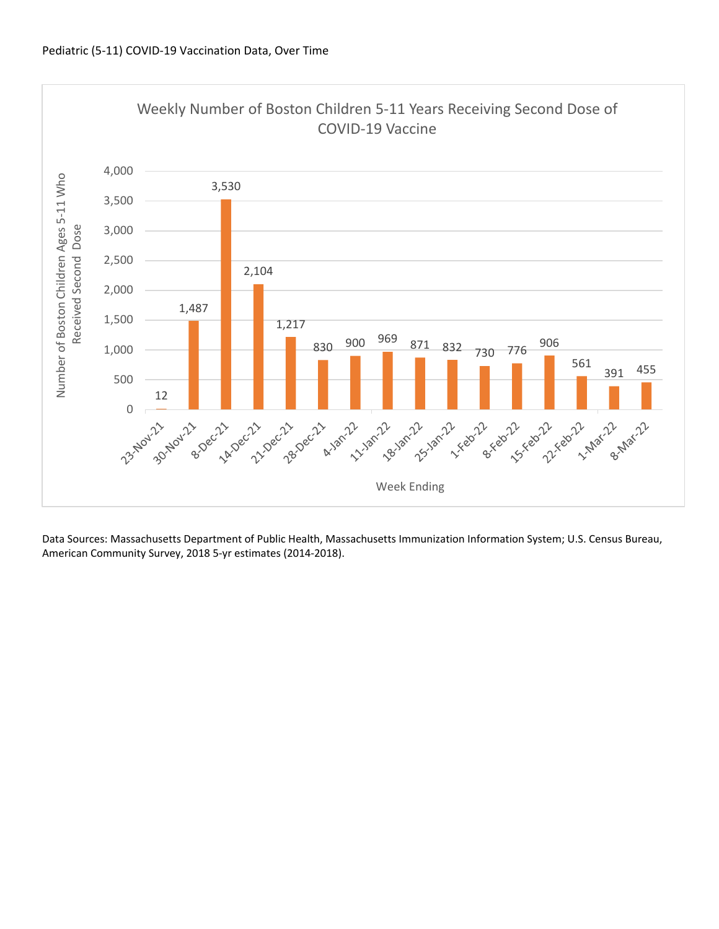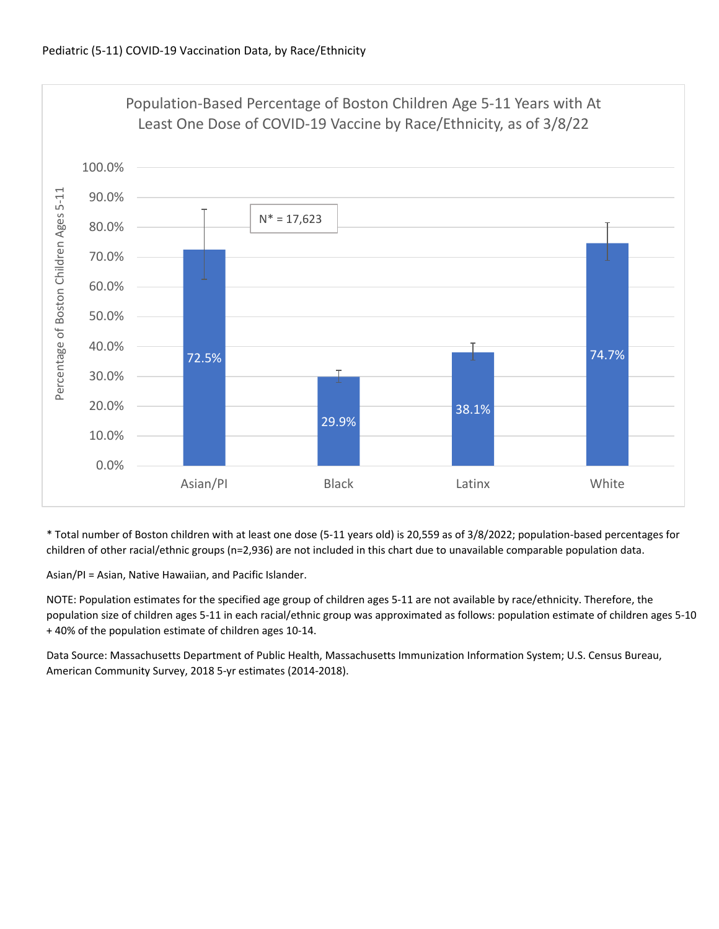

\* Total number of Boston children with at least one dose (5‐11 years old) is 20,559 as of 3/8/2022; population‐based percentages for children of other racial/ethnic groups (n=2,936) are not included in this chart due to unavailable comparable population data.

Asian/PI = Asian, Native Hawaiian, and Pacific Islander.

NOTE: Population estimates for the specified age group of children ages 5‐11 are not available by race/ethnicity. Therefore, the population size of children ages 5‐11 in each racial/ethnic group was approximated as follows: population estimate of children ages 5‐10 + 40% of the population estimate of children ages 10‐14.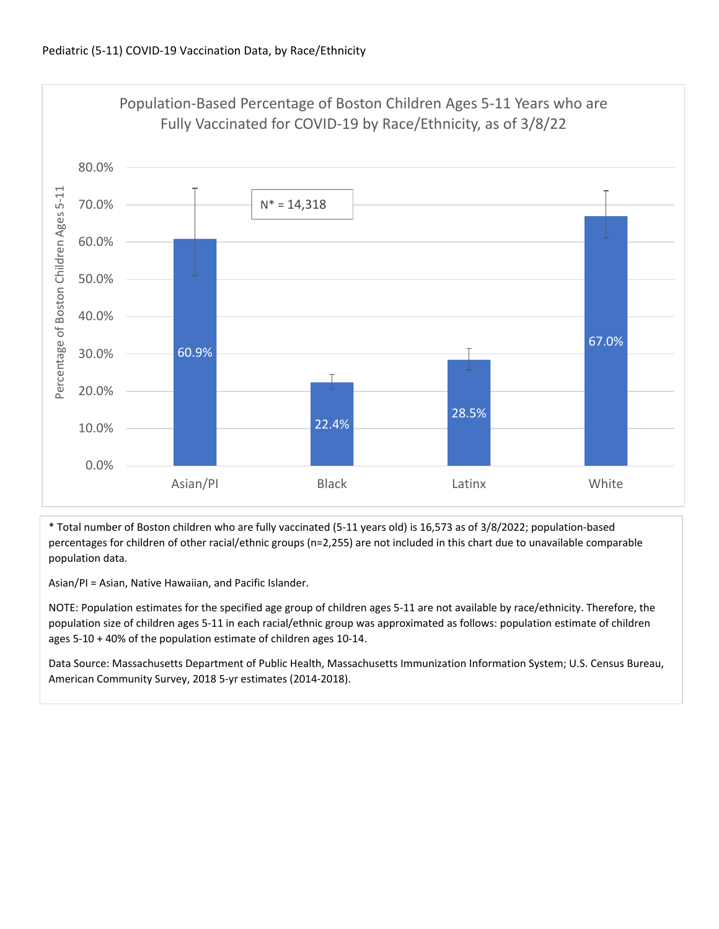

\* Total number of Boston children who are fully vaccinated (5‐11 years old) is 16,573 as of 3/8/2022; population‐based percentages for children of other racial/ethnic groups (n=2,255) are not included in this chart due to unavailable comparable population data.

Asian/PI = Asian, Native Hawaiian, and Pacific Islander.

NOTE: Population estimates for the specified age group of children ages 5‐11 are not available by race/ethnicity. Therefore, the population size of children ages 5‐11 in each racial/ethnic group was approximated as follows: population estimate of children ages 5‐10 + 40% of the population estimate of children ages 10‐14.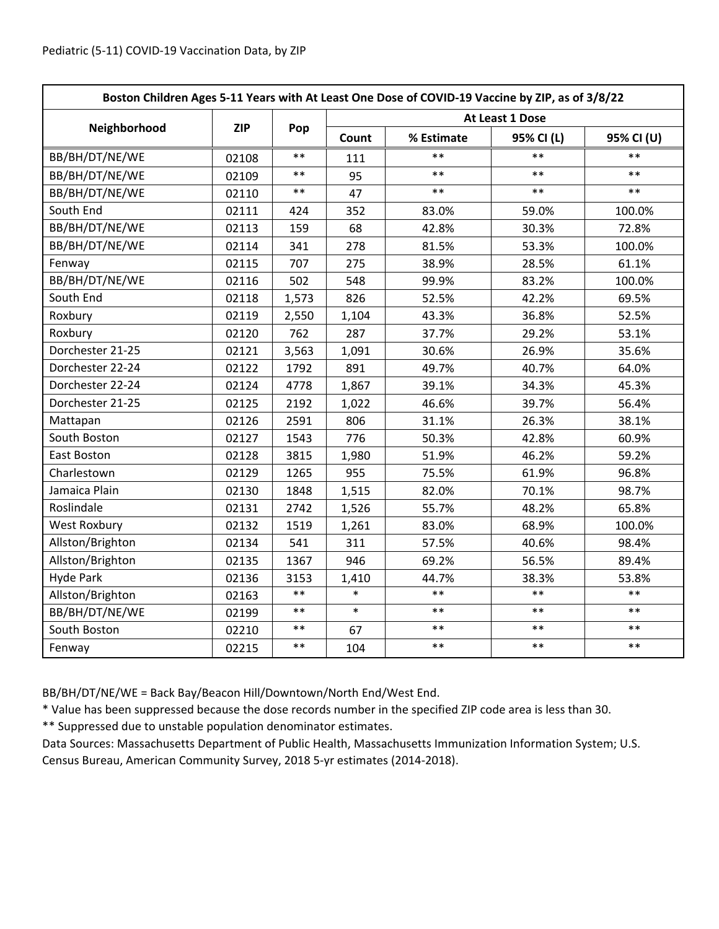| Boston Children Ages 5-11 Years with At Least One Dose of COVID-19 Vaccine by ZIP, as of 3/8/22 |            |       |                 |            |            |            |
|-------------------------------------------------------------------------------------------------|------------|-------|-----------------|------------|------------|------------|
|                                                                                                 | <b>ZIP</b> | Pop   | At Least 1 Dose |            |            |            |
| Neighborhood                                                                                    |            |       | Count           | % Estimate | 95% CI (L) | 95% CI (U) |
| BB/BH/DT/NE/WE                                                                                  | 02108      | $**$  | 111             | **         | $**$       | $**$       |
| BB/BH/DT/NE/WE                                                                                  | 02109      | $***$ | 95              | $***$      | $***$      | $***$      |
| BB/BH/DT/NE/WE                                                                                  | 02110      | $***$ | 47              | $**$       | $**$       | $***$      |
| South End                                                                                       | 02111      | 424   | 352             | 83.0%      | 59.0%      | 100.0%     |
| BB/BH/DT/NE/WE                                                                                  | 02113      | 159   | 68              | 42.8%      | 30.3%      | 72.8%      |
| BB/BH/DT/NE/WE                                                                                  | 02114      | 341   | 278             | 81.5%      | 53.3%      | 100.0%     |
| Fenway                                                                                          | 02115      | 707   | 275             | 38.9%      | 28.5%      | 61.1%      |
| BB/BH/DT/NE/WE                                                                                  | 02116      | 502   | 548             | 99.9%      | 83.2%      | 100.0%     |
| South End                                                                                       | 02118      | 1,573 | 826             | 52.5%      | 42.2%      | 69.5%      |
| Roxbury                                                                                         | 02119      | 2,550 | 1,104           | 43.3%      | 36.8%      | 52.5%      |
| Roxbury                                                                                         | 02120      | 762   | 287             | 37.7%      | 29.2%      | 53.1%      |
| Dorchester 21-25                                                                                | 02121      | 3,563 | 1,091           | 30.6%      | 26.9%      | 35.6%      |
| Dorchester 22-24                                                                                | 02122      | 1792  | 891             | 49.7%      | 40.7%      | 64.0%      |
| Dorchester 22-24                                                                                | 02124      | 4778  | 1,867           | 39.1%      | 34.3%      | 45.3%      |
| Dorchester 21-25                                                                                | 02125      | 2192  | 1,022           | 46.6%      | 39.7%      | 56.4%      |
| Mattapan                                                                                        | 02126      | 2591  | 806             | 31.1%      | 26.3%      | 38.1%      |
| South Boston                                                                                    | 02127      | 1543  | 776             | 50.3%      | 42.8%      | 60.9%      |
| East Boston                                                                                     | 02128      | 3815  | 1,980           | 51.9%      | 46.2%      | 59.2%      |
| Charlestown                                                                                     | 02129      | 1265  | 955             | 75.5%      | 61.9%      | 96.8%      |
| Jamaica Plain                                                                                   | 02130      | 1848  | 1,515           | 82.0%      | 70.1%      | 98.7%      |
| Roslindale                                                                                      | 02131      | 2742  | 1,526           | 55.7%      | 48.2%      | 65.8%      |
| <b>West Roxbury</b>                                                                             | 02132      | 1519  | 1,261           | 83.0%      | 68.9%      | 100.0%     |
| Allston/Brighton                                                                                | 02134      | 541   | 311             | 57.5%      | 40.6%      | 98.4%      |
| Allston/Brighton                                                                                | 02135      | 1367  | 946             | 69.2%      | 56.5%      | 89.4%      |
| <b>Hyde Park</b>                                                                                | 02136      | 3153  | 1,410           | 44.7%      | 38.3%      | 53.8%      |
| Allston/Brighton                                                                                | 02163      | $***$ | $\ast$          | $**$       | $**$       | $\ast\ast$ |
| BB/BH/DT/NE/WE                                                                                  | 02199      | $***$ | $\ast$          | $**$       | $**$       | $**$       |
| South Boston                                                                                    | 02210      | $***$ | 67              | $***$      | $***$      | $***$      |
| Fenway                                                                                          | 02215      | $***$ | 104             | $***$      | $***$      | $***$      |

BB/BH/DT/NE/WE = Back Bay/Beacon Hill/Downtown/North End/West End.

\* Value has been suppressed because the dose records number in the specified ZIP code area is less than 30.

\*\* Suppressed due to unstable population denominator estimates.